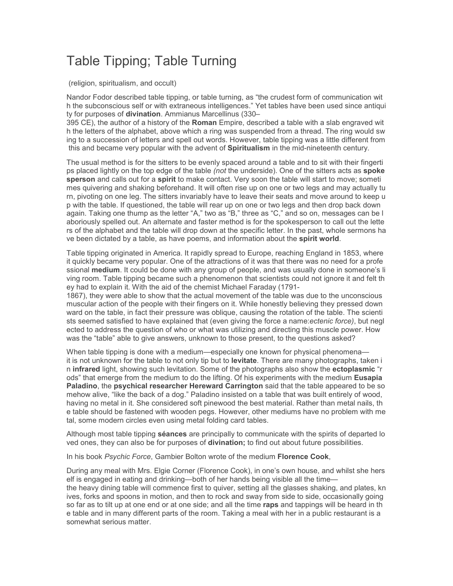## Table Tipping; Table Turning

(religion, spiritualism, and occult)

Nandor Fodor described table tipping, or table turning, as "the crudest form of communication wit h the subconscious self or with extraneous intelligences." Yet tables have been used since antiqui ty for purposes of **divination**. Ammianus Marcellinus (330–

395 CE), the author of a history of the **Roman** Empire, described a table with a slab engraved wit h the letters of the alphabet, above which a ring was suspended from a thread. The ring would sw ing to a succession of letters and spell out words. However, table tipping was a little different from this and became very popular with the advent of **Spiritualism** in the mid-nineteenth century.

The usual method is for the sitters to be evenly spaced around a table and to sit with their fingerti ps placed lightly on the top edge of the table *(not* the underside). One of the sitters acts as **spoke sperson** and calls out for a **spirit** to make contact. Very soon the table will start to move; someti mes quivering and shaking beforehand. It will often rise up on one or two legs and may actually tu rn, pivoting on one leg. The sitters invariably have to leave their seats and move around to keep u p with the table. If questioned, the table will rear up on one or two legs and then drop back down again. Taking one thump as the letter "A," two as "B," three as "C," and so on, messages can be l aboriously spelled out. An alternate and faster method is for the spokesperson to call out the lette rs of the alphabet and the table will drop down at the specific letter. In the past, whole sermons ha ve been dictated by a table, as have poems, and information about the **spirit world**.

Table tipping originated in America. It rapidly spread to Europe, reaching England in 1853, where it quickly became very popular. One of the attractions of it was that there was no need for a profe ssional **medium**. It could be done with any group of people, and was usually done in someone's li ving room. Table tipping became such a phenomenon that scientists could not ignore it and felt th ey had to explain it. With the aid of the chemist Michael Faraday (1791-

1867), they were able to show that the actual movement of the table was due to the unconscious muscular action of the people with their fingers on it. While honestly believing they pressed down ward on the table, in fact their pressure was oblique, causing the rotation of the table. The scienti sts seemed satisfied to have explained that (even giving the force a name:*ectenic force)*, but negl ected to address the question of who or what was utilizing and directing this muscle power. How was the "table" able to give answers, unknown to those present, to the questions asked?

When table tipping is done with a medium—especially one known for physical phenomena it is not unknown for the table to not only tip but to **levitate**. There are many photographs, taken i n **infrared** light, showing such levitation. Some of the photographs also show the **ectoplasmic** "r ods" that emerge from the medium to do the lifting. Of his experiments with the medium **Eusapia Paladino**, the **psychical researcher Hereward Carrington** said that the table appeared to be so mehow alive, "like the back of a dog." Paladino insisted on a table that was built entirely of wood, having no metal in it. She considered soft pinewood the best material. Rather than metal nails, th e table should be fastened with wooden pegs. However, other mediums have no problem with me tal, some modern circles even using metal folding card tables.

Although most table tipping **séances** are principally to communicate with the spirits of departed lo ved ones, they can also be for purposes of **divination;** to find out about future possibilities.

In his book *Psychic Force*, Gambier Bolton wrote of the medium **Florence Cook**,

During any meal with Mrs. Elgie Corner (Florence Cook), in one's own house, and whilst she hers elf is engaged in eating and drinking—both of her hands being visible all the time the heavy dining table will commence first to quiver, setting all the glasses shaking, and plates, kn ives, forks and spoons in motion, and then to rock and sway from side to side, occasionally going so far as to tilt up at one end or at one side; and all the time **raps** and tappings will be heard in th e table and in many different parts of the room. Taking a meal with her in a public restaurant is a somewhat serious matter.